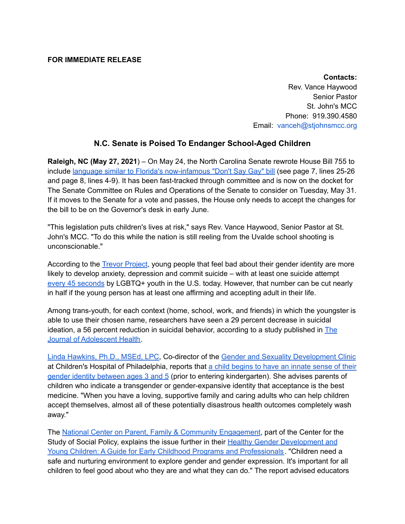## **FOR IMMEDIATE RELEASE**

**Contacts:** Rev. Vance Haywood Senior Pastor St. John's MCC Phone: 919.390.4580 Email: vanceh@stjohnsmcc.org

## **N.C. Senate is Poised To Endanger School-Aged Children**

**Raleigh, NC (May 27, 2021**) – On May 24, the North Carolina Senate rewrote House Bill 755 to include language similar to Florida's [now-infamous](https://www.ncleg.gov/Sessions/2021/Bills/House/PDF/H755v4.pdf) "Don't Say Gay" bill (see page 7, lines 25-26 and page 8, lines 4-9). It has been fast-tracked through committee and is now on the docket for The Senate Committee on Rules and Operations of the Senate to consider on Tuesday, May 31. If it moves to the Senate for a vote and passes, the House only needs to accept the changes for the bill to be on the Governor's desk in early June.

"This legislation puts children's lives at risk," says Rev. Vance Haywood, Senior Pastor at St. John's MCC. "To do this while the nation is still reeling from the Uvalde school shooting is unconscionable."

According to the Trevor [Project](https://www.thetrevorproject.org/resources/article/facts-about-lgbtq-youth-suicide/), young people that feel bad about their gender identity are more likely to develop anxiety, depression and commit suicide – with at least one suicide attempt every 45 [seconds](https://www.thetrevorproject.org/2021/03/11/estimate-of-how-often-lgbtq-youth-attempt-suicide-in-the-u-s/) by LGBTQ+ youth in the U.S. today. However, that number can be cut nearly in half if the young person has at least one affirming and accepting adult in their life.

Among trans-youth, for each context (home, school, work, and friends) in which the youngster is able to use their chosen name, researchers have seen a 29 percent decrease in suicidal ideation, a 56 percent reduction in suicidal behavior, according to a study published in [The](https://www.jahonline.org/article/S1054-139X(18)30085-5/fulltext) Journal of [Adolescent](https://www.jahonline.org/article/S1054-139X(18)30085-5/fulltext) Health.

Linda [Hawkins,](https://www.chop.edu/clinical-staff/hawkins-linda-a) Ph.D., MSEd, LPC, Co-director of the Gender and Sexuality [Development](https://www.chop.edu/centers-programs/gender-and-sexuality-development-program) Clinic at Children's Hospital of Philadelphia, reports that a child [begins](https://www.chop.edu/news/health-tip/when-do-children-develop-their-gender-identity) to have an innate sense of their gender identity [between](https://www.chop.edu/news/health-tip/when-do-children-develop-their-gender-identity) ages 3 and 5 (prior to entering kindergarten). She advises parents of children who indicate a transgender or gender-expansive identity that acceptance is the best medicine. "When you have a loving, supportive family and caring adults who can help children accept themselves, almost all of these potentially disastrous health outcomes completely wash away."

The National Center on Parent, Family & Community [Engagement,](https://cssp.org/our-work/project/national-center-for-parents-family-and-community-engagement/) part of the Center for the Study of Social Policy, explains the issue further in their **Healthy Gender [Development](https://depts.washington.edu/dbpeds/healthy-gender-development.pdf) and** Young Children: A Guide for Early Childhood Programs and [Professionals](https://depts.washington.edu/dbpeds/healthy-gender-development.pdf). "Children need a safe and nurturing environment to explore gender and gender expression. It's important for all children to feel good about who they are and what they can do." The report advised educators